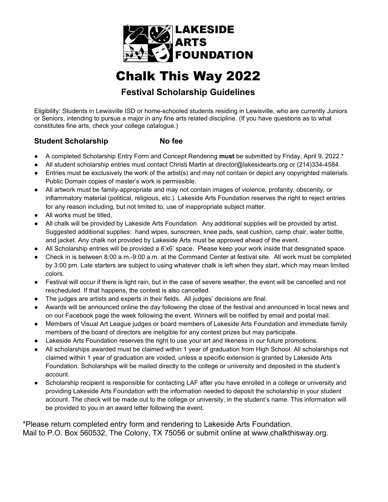

# Chalk This Way 2022

## **Festival Scholarship Guidelines**

Eligibility: Students in Lewisville ISD or home-schooled students residing in Lewisville, who are currently Juniors or Seniors, intending to pursue a major in any fine arts related discipline. (If you have questions as to what constitutes fine arts, check your college catalogue.)

### **Student Scholarship No fee**

- A completed Scholarship Entry Form and Concept Rendering **must** be submitted by Friday, April 9, 2022.\*
- All student scholarship entries must contact Christi Martin at director@lakesidearts.org or (214)334-4584.
- Entries must be exclusively the work of the artist(s) and may not contain or depict any copyrighted materials. Public Domain copies of master's work is permissible.
- All artwork must be family-appropriate and may not contain images of violence, profanity, obscenity, or inflammatory material (political, religious, etc.). Lakeside Arts Foundation reserves the right to reject entries for any reason including, but not limited to, use of inappropriate subject matter.
- All works must be titled.
- All chalk will be provided by Lakeside Arts Foundation. Any additional supplies will be provided by artist. Suggested additional supplies: hand wipes, sunscreen, knee pads, seat cushion, camp chair, water bottle, and jacket. Any chalk not provided by Lakeside Arts must be approved ahead of the event.
- All Scholarship entries will be provided a 6'x6' space. Please keep your work inside that designated space.
- Check in is between 8:00 a.m.-9:00 a.m. at the Command Center at festival site. All work must be completed by 3:00 pm. Late starters are subject to using whatever chalk is left when they start, which may mean limited colors.
- Festival will occur if there is light rain, but in the case of severe weather, the event will be cancelled and not rescheduled. If that happens, the contest is also cancelled.
- The judges are artists and experts in their fields. All judges' decisions are final.
- Awards will be announced online the day following the close of the festival and announced in local news and on our Facebook page the week following the event. Winners will be notified by email and postal mail.
- Members of Visual Art League judges or board members of Lakeside Arts Foundation and immediate family members of the board of directors are ineligible for any contest prizes but may participate.
- Lakeside Arts Foundation reserves the right to use your art and likeness in our future promotions.
- All scholarships awarded must be claimed within 1 year of graduation from High School. All scholarships not claimed within 1 year of graduation are voided, unless a specific extension is granted by Lakeside Arts Foundation. Scholarships will be mailed directly to the college or university and deposited in the student's account.
- Scholarship recipient is responsible for contacting LAF after you have enrolled in a college or university and providing Lakeside Arts Foundation with the information needed to deposit the scholarship in your student account. The check will be made out to the college or university, in the student's name. This information will be provided to you in an award letter following the event.

\*Please return completed entry form and rendering to Lakeside Arts Foundation. Mail to P.O. Box 560532, The Colony, TX 75056 or submit online at [www.c](http://www.google.com/url?q=http%3A%2F%2Fwww.lakesidearts.org&sa=D&sntz=1&usg=AFQjCNF05PohgJx_AjgZ-4y8aEBuv6npGg)halkthisway.org.